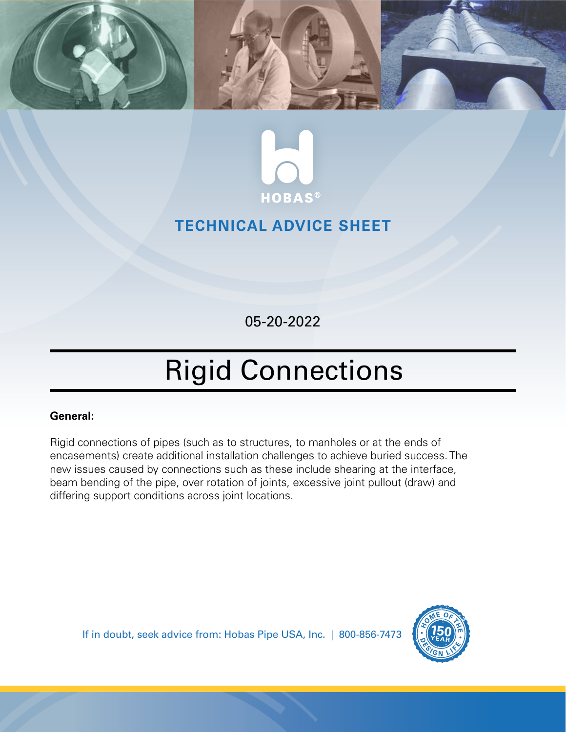



## **TECHNICAL ADVICE SHEET**

05-20-2022

## Rigid Connections

## **General:**

Rigid connections of pipes (such as to structures, to manholes or at the ends of encasements) create additional installation challenges to achieve buried success. The new issues caused by connections such as these include shearing at the interface, beam bending of the pipe, over rotation of joints, excessive joint pullout (draw) and differing support conditions across joint locations.

If in doubt, seek advice from: Hobas Pipe USA, Inc. | 800-856-7473